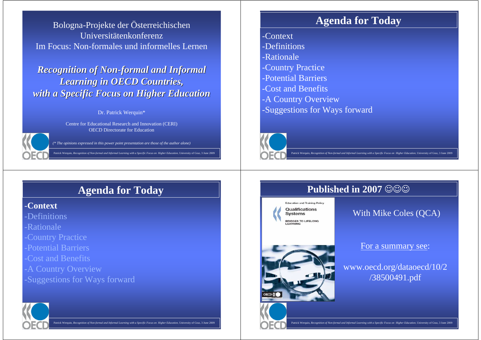Bologna-Projekte der Österreichischen UniversitätenkonferenzIm Focus: Non-formales und informelles Lernen

*Recognition of Non-formal and Informal Learning in OECD Countries,with a Specific Focus on Higher Education* 

Dr. Patrick Werquin\*

Centre for Educational Research and Innovation (CERI)OECD Directorate for Education

*(\* The opinions expressed in this power point presentation are those of the author alone)*

Patrick Werquin, *Recognition of Non-formal and Informal Learning with a Specific Focus on Higher Education*, University of Graz, 3 June 2009,

### **Agenda for Today**

- -Context
- -Definitions
- -Rationale
- -Country Practice
- -Potential Barriers
- -Cost and Benefits
- -A Country Overview

**Education and Training Policy** Qualifications **Systems BRIDGES TO LIFELONG** 

-Suggestions for Ways forward



### **Published in 2007**  $\circledcirc\circledcirc$

# **Agenda for Today**

### -**Context**

-Definitions

-Rationale

- -Country Practice
- -Potential Barriers
- -Cost and Benefits
- -A Country Overview
- -Suggestions for Ways forward



Patrick Werquin, *Recognition of Non-formal and Informal Learning with a Specific Focus on Higher Education*, University of Graz, 3 June 2009



### For a summary see:

### www.oecd.org/dataoecd/10/2/38500491.pdf

nal Learning with a Specific Focus on Higher Education, University of Graz, <sup>new</sup>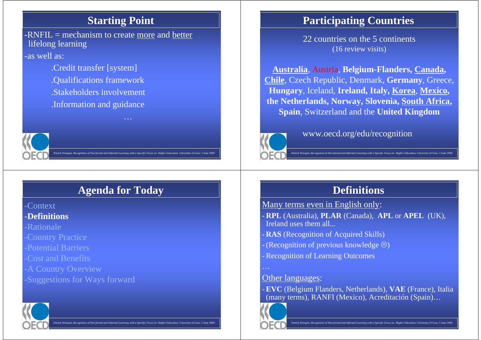### **Starting Point**

-RNFIL  $=$  mechanism to create <u>more</u> and better lifelong learning

-as well as:

.Credit transfer [system].Qualifications framework .Stakeholders involvement .Information and guidance

# Patrick Werquin, *Recognition of Non-formal and Informal Learning with a Specific Focus on Higher Education*, University of Graz, 3 June 2009

# **Agenda for Today**

…

-Context-**Definitions**

-Rationale

-Country Practice

-Potential Barriers

-Cost and Benefits

-A Country Overview

-Suggestions for Ways forward



#### Patrick Werquin, *Recognition of Non-formal and Informal Learning with a Specific Focus on Higher Education*, University of Graz, 3 June 2009

### **Participating Countries**

22 countries on the 5 continents (16 review visits)

**Australia**, Austria, **Belgium-Flanders, Canada, Chile**, Czech Republic, Denmark, **Germany**, Greece, **Hungary**, Iceland, **Ireland, Italy, Korea**, **Mexico, the Netherlands, Norway, Slovenia, South Africa, Spain**, Switzerland and the **United Kingdom**



,

www.oecd.org/edu/recognition

Patrick Werquin, *Recognition of Non-formal and Informal Learning with a Specific Focus on Higher Education*, University of Graz, 3 June 2009

### **Definitions**

Many terms even in English only:

- **RPL** (Australia), **PLAR** (Canada), **APL** or **APEL** (UK), Ireland uses them all...

- **RAS** (Recognition of Acquired Skills)
- (Recognition of previous knowledge  $\circledcirc$ )
- Recognition of Learning Outcomes

…

### **Other languages:**

- **EVC** (Belgium Flanders, Netherlands), **VAE** (France), Italia (many terms), RANFI (Mexico), Acreditación (Spain)…

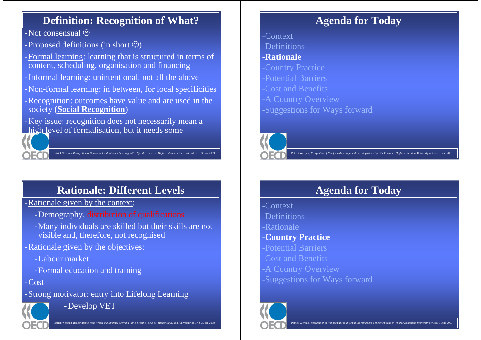### **Definition: Recognition of What?**

 $-$ Not consensual  $\odot$ 

- Proposed definitions (in short  $\circledcirc$ )
- -Formal learning: learning that is structured in terms of content, scheduling, organisation and financing
- -Informal learning: unintentional, not all the above
- Non-formal learning: in between, for local specificities
- -Recognition: outcomes have value and are used in the society (**Social Recognition**)
- -Key issue: recognition does not necessarily mean ahigh level of formalisation, but it needs some



# **Rationale: Different Levels**

Patrick Werquin, *Recognition of Non-formal and Informal Learning with a Specific Focus on Higher Education*, University of Graz, 3 June 2009

,

-Rationale given by the context:

- -Demography, distribution of qualifications
- -Many individuals are skilled but their skills are not visible and, therefore, not recognised
- -Rationale given by the objectives:
	- -Labour market
	- -Formal education and training

-Cost

-Strong motivator: entry into Lifelong Learning



-Develop VET

# **Agenda for Today**

- -Context
- -Definitions

### -**Rationale**

- -Country Practice
- -Potential Barriers
- -Cost and Benefits
- -A Country Overview
- -Suggestions for Ways forward



Patrick Werquin, *Recognition of Non-formal and Informal Learning with a Specific Focus on Higher Education*, University of Graz, 3 June 2009

# **Agenda for Today**

-Context

- -Definitions
- -Rationale
- -**Country Practice**
- -Potential Barriers
- -Cost and Benefits
- -A Country Overview
- -Suggestions for Ways forward

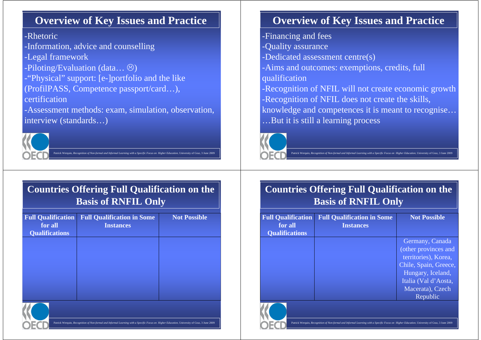### **Overview of Key Issues and Practice**

### -Rhetoric

-Information, advice and counselling

- -Legal framework
- -Piloting/Evaluation (data... <sup>⊝</sup>)<br>-"Physical" support: [e-]portfoli
- -"Physical" support: [e-]portfolio and the like (ProfilPASS, Competence passport/card…),

certification

-Assessment methods: exam, simulation, observation,interview (standards…)



### **Countries Offering Full Qualification on the Basis of RNFIL Only**

Patrick Werquin, *Recognition of Non-formal and Informal Learning with a Specific Focus on Higher Education*, University of Graz, 3 June 2009

,

| <b>Full Qualification</b><br>for all<br><b>Qualifications</b> | <b>Full Qualification in Some</b><br><b>Instances</b> | <b>Not Possible</b> |
|---------------------------------------------------------------|-------------------------------------------------------|---------------------|
|                                                               |                                                       |                     |
|                                                               |                                                       |                     |
|                                                               |                                                       |                     |



#### Patrick Werquin, *Recognition of Non-formal and Informal Learning with a Specific Focus on Higher Education*, University of Graz, 3 June 2009

### **Overview of Key Issues and Practice**

-Financing and fees

- -Quality assurance
- -Dedicated assessment centre(s)
- -Aims and outcomes: exemptions, credits, full qualification
- -Recognition of NFIL will not create economic growth-Recognition of NFIL does not create the skills, knowledge and competences it is meant to recognise……But it is still a learning process



Patrick Werquin, *Recognition of Non-formal and Informal Learning with a Specific Focus on Higher Education*, University of Graz, 3 June 2009

### **Countries Offering Full Qualification on the Basis of RNFIL Only**

| <b>Full Qualification</b><br>for all | <b>Full Qualification in Some</b><br><b>Instances</b> | <b>Not Possible</b>   |  |
|--------------------------------------|-------------------------------------------------------|-----------------------|--|
| <b>Qualifications</b>                |                                                       | Germany, Canada       |  |
|                                      |                                                       | (other provinces and  |  |
|                                      |                                                       | territories), Korea,  |  |
|                                      |                                                       | Chile, Spain, Greece, |  |
|                                      |                                                       | Hungary, Iceland,     |  |
|                                      |                                                       | Italia (Val d'Aosta,  |  |
|                                      |                                                       | Macerata), Czech      |  |
|                                      |                                                       | Republic              |  |

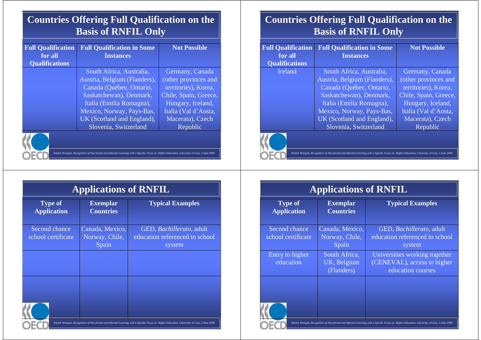### **Countries Offering Full Qualification on the Basis of RNFIL Only**

| <b>Full Qualification</b>                                                                                                                   | <b>Full Qualification in Some</b> | <b>Not Possible</b>   |  |
|---------------------------------------------------------------------------------------------------------------------------------------------|-----------------------------------|-----------------------|--|
| for all                                                                                                                                     | <b>Instances</b>                  |                       |  |
| <b>Qualifications</b>                                                                                                                       |                                   |                       |  |
|                                                                                                                                             | South Africa, Australia,          | Germany, Canada       |  |
|                                                                                                                                             | Austria, Belgium (Flanders),      | (other provinces and  |  |
|                                                                                                                                             | Canada (Québec, Ontario,          | territories), Korea,  |  |
|                                                                                                                                             | Saskatchewan), Denmark,           | Chile, Spain, Greece, |  |
|                                                                                                                                             | Italia (Emilia Romagna),          | Hungary, Iceland,     |  |
|                                                                                                                                             | Mexico, Norway, Pays-Bas,         | Italia (Val d'Aosta,  |  |
|                                                                                                                                             | UK (Scotland and England),        | Macerata), Czech      |  |
|                                                                                                                                             | Slovenia, Switzerland             | Republic              |  |
|                                                                                                                                             |                                   |                       |  |
| Patrick Werquin, Recognition of Non-formal and Informal Learning with a Specific Focus on Higher Education, University of Graz, 3 June 2009 |                                   |                       |  |

### **Countries Offering Full Qualification on the Basis of RNFIL Only**

| <b>Full Qualification</b><br>for all | <b>Full Qualification in Some</b><br><b>Instances</b>                                                                                       | <b>Not Possible</b>   |
|--------------------------------------|---------------------------------------------------------------------------------------------------------------------------------------------|-----------------------|
| <b>Qualifications</b>                |                                                                                                                                             |                       |
| Ireland                              | South Africa, Australia,                                                                                                                    | Germany, Canada       |
|                                      | Austria, Belgium (Flanders),                                                                                                                | (other provinces and  |
|                                      | Canada (Québec, Ontario,                                                                                                                    | territories), Korea,  |
|                                      | Saskatchewan), Denmark,                                                                                                                     | Chile, Spain, Greece, |
|                                      | Italia (Emilia Romagna),                                                                                                                    | Hungary, Iceland,     |
|                                      | Mexico, Norway, Pays-Bas,                                                                                                                   | Italia (Val d'Aosta,  |
|                                      | UK (Scotland and England),                                                                                                                  | Macerata), Czech      |
|                                      | Slovenia, Switzerland                                                                                                                       | Republic              |
|                                      |                                                                                                                                             |                       |
|                                      | Patrick Werquin, Recognition of Non-formal and Informal Learning with a Specific Focus on Higher Education. University of Graz, 3 June 2009 |                       |

| <b>Applications of RNFIL</b>         |                                            |                                                                                                                                             |  |
|--------------------------------------|--------------------------------------------|---------------------------------------------------------------------------------------------------------------------------------------------|--|
| <b>Type of</b><br><b>Application</b> | <b>Exemplar</b><br><b>Countries</b>        | <b>Typical Examples</b>                                                                                                                     |  |
| Second chance<br>school certificate  | Canada, Mexico,<br>Norway, Chile,<br>Spain | GED, <i>Bachillerato</i> , adult<br>education referenced to school<br>system                                                                |  |
|                                      |                                            |                                                                                                                                             |  |
|                                      |                                            |                                                                                                                                             |  |
|                                      |                                            | Patrick Werquin, Recognition of Non-formal and Informal Learning with a Specific Focus on Higher Education. University of Graz, 3 June 2009 |  |

| дррисаноны от итали                        |                                                                                                                                             |  |  |
|--------------------------------------------|---------------------------------------------------------------------------------------------------------------------------------------------|--|--|
| <b>Exemplar</b><br><b>Countries</b>        | <b>Typical Examples</b>                                                                                                                     |  |  |
| Canada, Mexico,<br>Norway, Chile,<br>Spain | GED, Bachillerato, adult<br>education referenced to school<br>system                                                                        |  |  |
| South Africa,<br>UK, Belgium<br>(Flanders) | Universities working together<br>(CENEVAL), access to higher<br>education courses                                                           |  |  |
|                                            | Patrick Werquin, Recognition of Non-formal and Informal Learning with a Specific Focus on Higher Education, University of Graz, 3 June 2009 |  |  |
|                                            |                                                                                                                                             |  |  |

**Applications of RNFIL**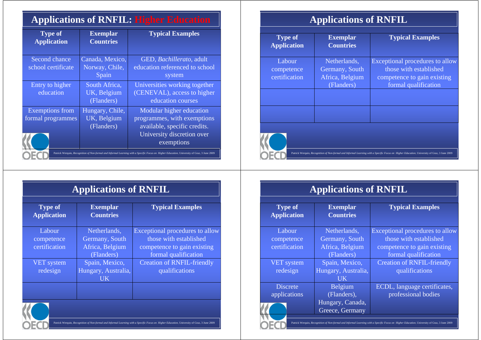### **Applications of RNFIL: Higher Education**

| <b>Type of</b><br><b>Application</b>        | <b>Exemplar</b><br><b>Countries</b>          | <b>Typical Examples</b>                                                                                                                     |
|---------------------------------------------|----------------------------------------------|---------------------------------------------------------------------------------------------------------------------------------------------|
| Second chance<br>school certificate         | Canada, Mexico,<br>Norway, Chile,<br>Spain   | GED, Bachillerato, adult<br>education referenced to school<br>system                                                                        |
| Entry to higher<br>education                | South Africa,<br>UK, Belgium<br>(Flanders)   | Universities working together<br>(CENEVAL), access to higher<br>education courses                                                           |
| <b>Exemptions</b> from<br>formal programmes | Hungary, Chile,<br>UK, Belgium<br>(Flanders) | Modular higher education<br>programmes, with exemptions<br>available, specific credits.<br>University discretion over<br>exemptions         |
|                                             |                                              | Patrick Werquin, Recognition of Non-formal and Informal Learning with a Specific Focus on Higher Education. University of Graz, 3 June 2009 |

|  | <b>Applications of RNFIL</b> |  |  |
|--|------------------------------|--|--|
|--|------------------------------|--|--|

| <b>Type of</b><br><b>Application</b>                                                                                                        | <b>Exemplar</b><br><b>Countries</b> | <b>Typical Examples</b>         |  |
|---------------------------------------------------------------------------------------------------------------------------------------------|-------------------------------------|---------------------------------|--|
| Labour                                                                                                                                      | Netherlands,                        | Exceptional procedures to allow |  |
| competence                                                                                                                                  | Germany, South                      | those with established          |  |
| certification                                                                                                                               | Africa, Belgium                     | competence to gain existing     |  |
|                                                                                                                                             | (Flanders)                          | formal qualification            |  |
|                                                                                                                                             |                                     |                                 |  |
|                                                                                                                                             |                                     |                                 |  |
| Patrick Werquin, Recognition of Non-formal and Informal Learning with a Specific Focus on Higher Education, University of Graz, 3 June 2009 |                                     |                                 |  |

**Applications of RNFIL**

**Typical Examples**

**Exemplar Countries**

**Type of Application**

| <b>Applications of RNFIL</b>         |                                     |                                   |  |
|--------------------------------------|-------------------------------------|-----------------------------------|--|
| <b>Type of</b><br><b>Application</b> | <b>Exemplar</b><br><b>Countries</b> | <b>Typical Examples</b>           |  |
| Labour                               | Netherlands,                        | Exceptional procedures to allow   |  |
| competence                           | Germany, South                      | those with established            |  |
| certification                        | Africa, Belgium                     | competence to gain existing       |  |
|                                      | (Flanders)                          | formal qualification              |  |
| VET system                           | Spain, Mexico,                      | <b>Creation of RNFIL-friendly</b> |  |
| redesign                             | Hungary, Australia,                 | qualifications                    |  |
|                                      | UK.                                 |                                   |  |
|                                      |                                     |                                   |  |
|                                      |                                     |                                   |  |

#### Patrick Werquin, *Recognition of Non-formal and Informal Learning with a Specific Focus on Higher Education*, University of Graz, 3 June 2009Labour competence certificationNetherlands, Germany, South Africa, Belgium (Flanders) Exceptional procedures to allow those with established competence to gain existing formal qualification VET system redesignSpain, Mexico, Hungary, Australia, UK Belgium Creation of RNFIL-friendly qualificationsDiscrete applications (Flanders), Hungary, Canada, Greece, GermanyECDL, language certificates, professional bodies

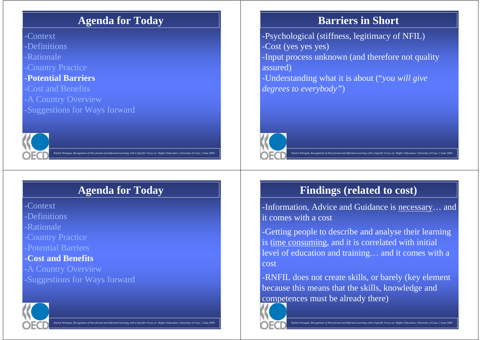### **Agenda for Today**

-Context -Definitions-Rationale-Country Practice

### -**Potential Barriers**

-Cost and Benefits

-A Country Overview

-Suggestions for Ways forward



# **Agenda for Today**

Patrick Werquin, *Recognition of Non-formal and Informal Learning with a Specific Focus on Higher Education*, University of Graz, 3 June 2009

,

-Context

-Definitions

-Rationale

-Country Practice

-Potential Barriers

### -**Cost and Benefits**

 -A Country Overview-Suggestions for Ways forward



Patrick Werquin, *Recognition of Non-formal and Informal Learning with a Specific Focus on Higher Education*, University of Graz, 3 June 2009

### **Barriers in Short**

-Psychological (stiffness, legitimacy of NFIL)-Cost (yes yes yes) -Input process unknown (and therefore not quality assured)-Understanding what it is about ("*you will give degrees to everybody"*)



Patrick Werquin, *Recognition of Non-formal and Informal Learning with a Specific Focus on Higher Education*, University of Graz, 3 June 2009

# **Findings (related to cost)**

-Information, Advice and Guidance is <u>necessary</u>... and<br>it comes with a cost it comes with a cost

-Getting people to describe and analyse their learning is time consuming, and it is correlated with initial level of education and training… and it comes with acost

-RNFIL does not create skills, or barely (key element because this means that the skills, knowledge and competences must be already there)

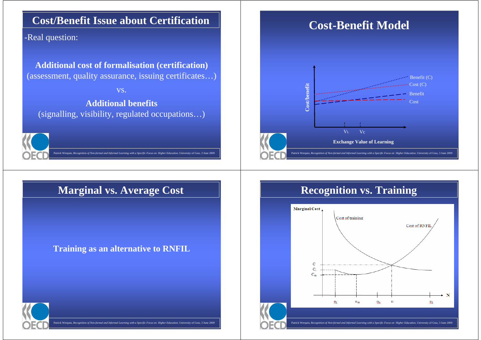### **Cost/Benefit Issue about Certification**

-Real question:

**Additional cost of formalisation (certification)**(assessment, quality assurance, issuing certificates…)

vs.

**Additional benefits**(signalling, visibility, regulated occupations…)

Patrick Werquin, *Recognition of Non-formal and Informal Learning with a Specific Focus on Higher Education*, University of Graz, 3 June 2009

,



### **Marginal vs. Average Cost**

### **Training as an alternative to RNFIL**



#### Patrick Werquin, *Recognition of Non-formal and Informal Learning with a Specific Focus on Higher Education*, University of Graz, 3 June 2009

# **Cost-Benefit Model**



# **Recognition vs. Training**

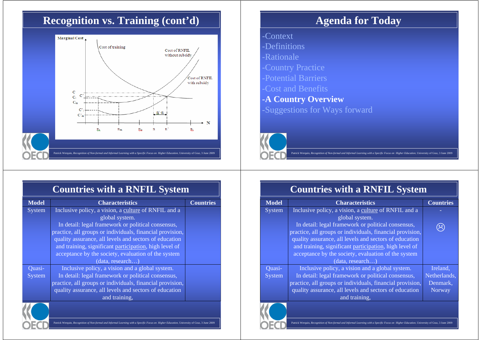### **Recognition vs. Training (cont'd)**



# **Agenda for Today**

- -Context
- -Definitions
- -Rationale
- -Country Practice
- -Potential Barriers
- -Cost and Benefits
- -**A Country Overview**-Suggestions for Ways forward



Patrick Werquin, *Recognition of Non-formal and Informal Learning with a Specific Focus on Higher Education*, Un

### **Countries with a RNFIL System**

| <b>Model</b> | <b>Characteristics</b>                                    | <b>Countries</b> |
|--------------|-----------------------------------------------------------|------------------|
| System       | Inclusive policy, a vision, a culture of RNFIL and a      |                  |
|              | global system.                                            |                  |
|              | In detail: legal framework or political consensus,        |                  |
|              | practice, all groups or individuals, financial provision, |                  |
|              | quality assurance, all levels and sectors of education    |                  |
|              | and training, significant participation, high level of    |                  |
|              | acceptance by the society, evaluation of the system       |                  |
|              | (data, research)                                          |                  |
| Quasi-       | Inclusive policy, a vision and a global system.           |                  |
| System       | In detail: legal framework or political consensus,        |                  |
|              | practice, all groups or individuals, financial provision, |                  |
|              | quality assurance, all levels and sectors of education    |                  |
|              | and training,                                             |                  |
|              |                                                           |                  |

Patrick Werquin, *Recognition of Non-formal and Informal Learning with a Specific Focus on Higher Education*, University of Graz, 3 June 2009

# **Countries with a RNFIL System**

| <b>Model</b>  | <b>Characteristics</b>                                    | <b>Countries</b> |
|---------------|-----------------------------------------------------------|------------------|
| <b>System</b> | Inclusive policy, a vision, a culture of RNFIL and a      |                  |
|               | global system.                                            |                  |
|               | In detail: legal framework or political consensus,        |                  |
|               | practice, all groups or individuals, financial provision, |                  |
|               | quality assurance, all levels and sectors of education    |                  |
|               | and training, significant participation, high level of    |                  |
|               | acceptance by the society, evaluation of the system       |                  |
|               | (data, research)                                          |                  |
| Quasi-        | Inclusive policy, a vision and a global system.           | Ireland,         |
| System        | In detail: legal framework or political consensus,        | Netherlands,     |
|               | practice, all groups or individuals, financial provision, | Denmark.         |
|               | quality assurance, all levels and sectors of education    | <b>Norway</b>    |
|               | and training,                                             |                  |
|               |                                                           |                  |

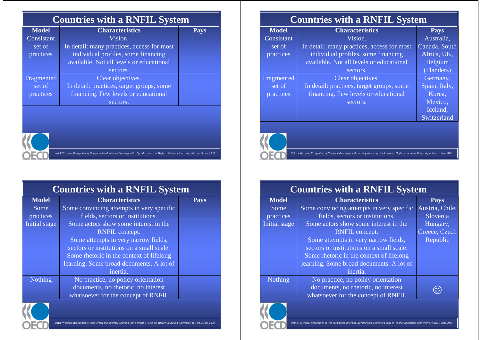| <b>Countries with a RNFIL System</b> |                                            |             |  |
|--------------------------------------|--------------------------------------------|-------------|--|
| <b>Model</b>                         | <b>Characteristics</b>                     | <b>Pays</b> |  |
| Consistant                           | Vision.                                    |             |  |
| set of                               | In detail: many practices, access for most |             |  |
| practices                            | individual profiles, some financing        |             |  |
|                                      | available. Not all levels or educational   |             |  |
|                                      | sectors.                                   |             |  |
| Fragmented                           | Clear objectives.                          |             |  |
| set of                               | In detail: practices, target groups, some  |             |  |
| practices                            | financing. Few levels or educational       |             |  |
|                                      | sectors.                                   |             |  |



| <b>Countries with a RNFIL System</b> |                                           |      |  |  |
|--------------------------------------|-------------------------------------------|------|--|--|
| <b>Model</b>                         | <b>Characteristics</b>                    | Pays |  |  |
| Some                                 | Some convincing attempts in very specific |      |  |  |
| practices                            | fields, sectors or institutions.          |      |  |  |
| Initial stage                        | Some actors show some interest in the     |      |  |  |
|                                      | RNFIL concept.                            |      |  |  |
|                                      | Some attempts in very narrow fields,      |      |  |  |
|                                      | sectors or institutions on a small scale. |      |  |  |
|                                      | Some rhetoric in the context of lifelong  |      |  |  |
|                                      | learning. Some broad documents. A lot of  |      |  |  |
|                                      | inertia.                                  |      |  |  |
| <b>Nothing</b>                       | No practice, no policy orientation        |      |  |  |
|                                      | documents, no rhetoric, no interest       |      |  |  |
|                                      | whatsoever for the concept of RNFIL       |      |  |  |
|                                      |                                           |      |  |  |



|  | Patrick Werquin, Recognition of Non-formal and Informal Learning with a Specific Focus on Higher Education, University of Graz, 3 June 2009 |
|--|---------------------------------------------------------------------------------------------------------------------------------------------|
|  |                                                                                                                                             |

| <b>Countries with a RNFIL System</b> |                                            |               |  |
|--------------------------------------|--------------------------------------------|---------------|--|
| <b>Model</b>                         | <b>Characteristics</b>                     | <b>Pays</b>   |  |
| Consistant                           | Vision.                                    | Australia,    |  |
| set of                               | In detail: many practices, access for most | Canada, South |  |
| practices                            | individual profiles, some financing        | Africa, UK,   |  |
|                                      | available. Not all levels or educational   | Belgium       |  |
|                                      | sectors.                                   | (Flanders)    |  |
| Fragmented                           | Clear objectives.                          | Germany,      |  |
| set of                               | In detail: practices, target groups, some  | Spain, Italy, |  |
| practices                            | financing. Few levels or educational       | Korea,        |  |
|                                      | sectors.                                   | Mexico,       |  |
|                                      |                                            | Iceland,      |  |
|                                      |                                            | Switzerland   |  |
|                                      |                                            |               |  |



Patrick Werquin, *Recognition of Non-formal and Informal Learning with a Specific Focus on Higher Education*, University of Graz, 3 June 2009

| <b>Countries with a RNFIL System</b> |                                           |                 |  |
|--------------------------------------|-------------------------------------------|-----------------|--|
| <b>Model</b>                         | <b>Characteristics</b>                    | <b>Pays</b>     |  |
| Some                                 | Some convincing attempts in very specific | Austria, Chile, |  |
| practices                            | fields, sectors or institutions.          | Slovenia        |  |
| Initial stage                        | Some actors show some interest in the     | Hungary,        |  |
|                                      | RNFIL concept.                            | Greece, Czech   |  |
|                                      | Some attempts in very narrow fields,      | Republic        |  |
|                                      | sectors or institutions on a small scale. |                 |  |
|                                      | Some rhetoric in the context of lifelong  |                 |  |
|                                      | learning. Some broad documents. A lot of  |                 |  |
|                                      | inertia.                                  |                 |  |
| <b>Nothing</b>                       | No practice, no policy orientation        |                 |  |
|                                      | documents, no rhetoric, no interest       |                 |  |
|                                      | whatsoever for the concept of RNFIL       |                 |  |
|                                      |                                           |                 |  |